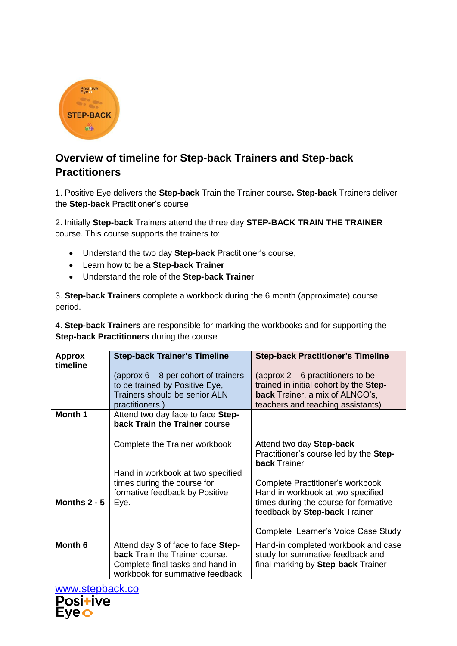

## **Overview of timeline for Step-back Trainers and Step-back Practitioners**

1. Positive Eye delivers the **Step-back** Train the Trainer course**. Step-back** Trainers deliver the **Step-back** Practitioner's course

2. Initially **Step-back** Trainers attend the three day **STEP-BACK TRAIN THE TRAINER**  course. This course supports the trainers to:

- Understand the two day **Step-back** Practitioner's course,
- Learn how to be a **Step-back Trainer**
- Understand the role of the **Step-back Trainer**

3. **Step-back Trainers** complete a workbook during the 6 month (approximate) course period.

4. **Step-back Trainers** are responsible for marking the workbooks and for supporting the **Step-back Practitioners** during the course

| <b>Approx</b><br>timeline | <b>Step-back Trainer's Timeline</b><br>(approx $6 - 8$ per cohort of trainers                                                                      | <b>Step-back Practitioner's Timeline</b><br>(approx $2 - 6$ practitioners to be                                                                                                        |
|---------------------------|----------------------------------------------------------------------------------------------------------------------------------------------------|----------------------------------------------------------------------------------------------------------------------------------------------------------------------------------------|
|                           | to be trained by Positive Eye,<br>Trainers should be senior ALN<br>practitioners)                                                                  | trained in initial cohort by the Step-<br><b>back</b> Trainer, a mix of ALNCO's,<br>teachers and teaching assistants)                                                                  |
| Month 1                   | Attend two day face to face Step-<br>back Train the Trainer course                                                                                 |                                                                                                                                                                                        |
|                           | Complete the Trainer workbook                                                                                                                      | Attend two day Step-back<br>Practitioner's course led by the Step-<br><b>back Trainer</b>                                                                                              |
| Months $2 - 5$            | Hand in workbook at two specified<br>times during the course for<br>formative feedback by Positive<br>Eye.                                         | Complete Practitioner's workbook<br>Hand in workbook at two specified<br>times during the course for formative<br>feedback by Step-back Trainer<br>Complete Learner's Voice Case Study |
| Month <sub>6</sub>        | Attend day 3 of face to face Step-<br><b>back</b> Train the Trainer course.<br>Complete final tasks and hand in<br>workbook for summative feedback | Hand-in completed workbook and case<br>study for summative feedback and<br>final marking by Step-back Trainer                                                                          |